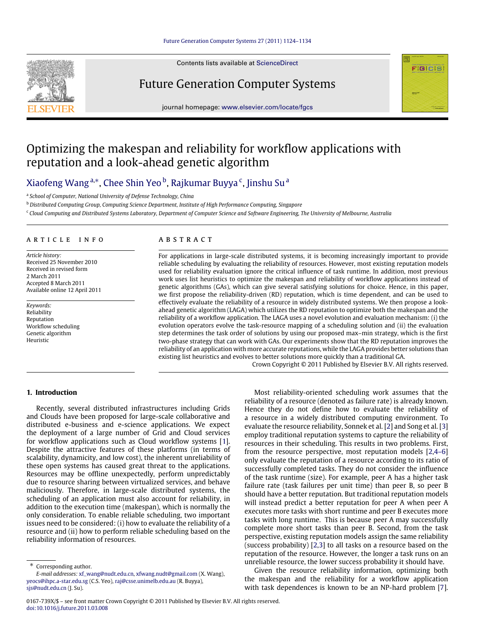# [Future Generation Computer Systems 27 \(2011\) 1124–1134](http://dx.doi.org/10.1016/j.future.2011.03.008)

Contents lists available at [ScienceDirect](http://www.elsevier.com/locate/fgcs)



Future Generation Computer Systems



journal homepage: [www.elsevier.com/locate/fgcs](http://www.elsevier.com/locate/fgcs)

# Optimizing the makespan and reliability for workflow applications with reputation and a look-ahead genetic algorithm

[Xiaofeng Wang](#page-10-0)<sup>[a,](#page-0-0)</sup>\*, [Chee Shin Yeo](#page-10-1) <sup>[b](#page-0-2)</sup>, [Rajkumar Buyya](#page-10-2) <sup>[c](#page-0-3)</sup>, [Jinshu Su](#page-10-3) <sup>[a](#page-0-0)</sup>

<span id="page-0-0"></span>a *School of Computer, National University of Defense Technology, China*

<span id="page-0-2"></span><sup>b</sup> *Distributed Computing Group, Computing Science Department, Institute of High Performance Computing, Singapore*

<span id="page-0-3"></span><sup>c</sup> *Cloud Computing and Distributed Systems Laboratory, Department of Computer Science and Software Engineering, The University of Melbourne, Australia*

## a r t i c l e i n f o

*Article history:* Received 25 November 2010 Received in revised form 2 March 2011 Accepted 8 March 2011 Available online 12 April 2011

*Keywords:* Reliability Reputation Workflow scheduling Genetic algorithm Heuristic

# a b s t r a c t

For applications in large-scale distributed systems, it is becoming increasingly important to provide reliable scheduling by evaluating the reliability of resources. However, most existing reputation models used for reliability evaluation ignore the critical influence of task runtime. In addition, most previous work uses list heuristics to optimize the makespan and reliability of workflow applications instead of genetic algorithms (GAs), which can give several satisfying solutions for choice. Hence, in this paper, we first propose the reliability-driven (RD) reputation, which is time dependent, and can be used to effectively evaluate the reliability of a resource in widely distributed systems. We then propose a lookahead genetic algorithm (LAGA) which utilizes the RD reputation to optimize both the makespan and the reliability of a workflow application. The LAGA uses a novel evolution and evaluation mechanism: (i) the evolution operators evolve the task-resource mapping of a scheduling solution and (ii) the evaluation step determines the task order of solutions by using our proposed max–min strategy, which is the first two-phase strategy that can work with GAs. Our experiments show that the RD reputation improves the reliability of an application with more accurate reputations, while the LAGA provides better solutions than existing list heuristics and evolves to better solutions more quickly than a traditional GA.

Crown Copyright © 2011 Published by Elsevier B.V. All rights reserved.

# **1. Introduction**

Recently, several distributed infrastructures including Grids and Clouds have been proposed for large-scale collaborative and distributed e-business and e-science applications. We expect the deployment of a large number of Grid and Cloud services for workflow applications such as Cloud workflow systems [\[1\]](#page-9-0). Despite the attractive features of these platforms (in terms of scalability, dynamicity, and low cost), the inherent unreliability of these open systems has caused great threat to the applications. Resources may be offline unexpectedly, perform unpredictably due to resource sharing between virtualized services, and behave maliciously. Therefore, in large-scale distributed systems, the scheduling of an application must also account for reliability, in addition to the execution time (makespan), which is normally the only consideration. To enable reliable scheduling, two important issues need to be considered: (i) how to evaluate the reliability of a resource and (ii) how to perform reliable scheduling based on the reliability information of resources.

Most reliability-oriented scheduling work assumes that the reliability of a resource (denoted as failure rate) is already known. Hence they do not define how to evaluate the reliability of a resource in a widely distributed computing environment. To evaluate the resource reliability, Sonnek et al. [\[2\]](#page-9-1) and Song et al. [\[3\]](#page-9-2) employ traditional reputation systems to capture the reliability of resources in their scheduling. This results in two problems. First, from the resource perspective, most reputation models [\[2](#page-9-1)[,4–6\]](#page-9-3) only evaluate the reputation of a resource according to its ratio of successfully completed tasks. They do not consider the influence of the task runtime (size). For example, peer A has a higher task failure rate (task failures per unit time) than peer B, so peer B should have a better reputation. But traditional reputation models will instead predict a better reputation for peer A when peer A executes more tasks with short runtime and peer B executes more tasks with long runtime. This is because peer A may successfully complete more short tasks than peer B. Second, from the task perspective, existing reputation models assign the same reliability (success probability) [\[2](#page-9-1)[,3\]](#page-9-2) to all tasks on a resource based on the reputation of the resource. However, the longer a task runs on an unreliable resource, the lower success probability it should have.

Given the resource reliability information, optimizing both the makespan and the reliability for a workflow application with task dependences is known to be an NP-hard problem [\[7\]](#page-9-4).

<span id="page-0-1"></span>Corresponding author.

*E-mail addresses:* [xf\\_wang@nudt.edu.cn,](mailto:xf_wang@nudt.edu.cn) [xfwang.nudt@gmail.com](mailto:xfwang.nudt@gmail.com) (X. Wang), [yeocs@ihpc.a-star.edu.sg](mailto:yeocs@ihpc.a-star.edu.sg) (C.S. Yeo), [raj@csse.unimelb.edu.au](mailto:raj@csse.unimelb.edu.au) (R. Buyya), [sjs@nudt.edu.cn](mailto:sjs@nudt.edu.cn) (J. Su).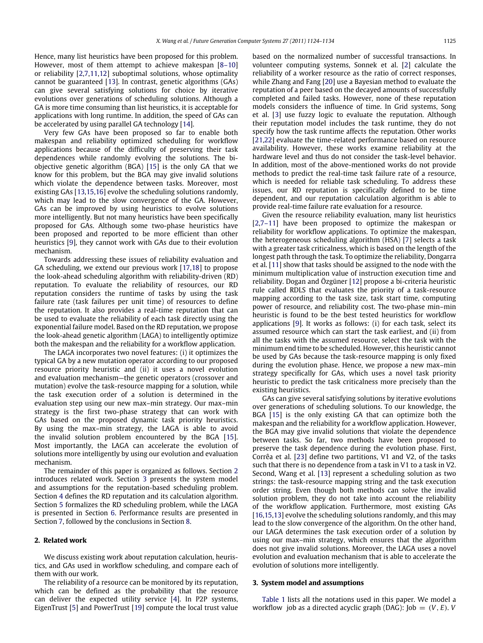Hence, many list heuristics have been proposed for this problem. However, most of them attempt to achieve makespan [\[8–10\]](#page-9-5) or reliability [\[2](#page-9-1)[,7,](#page-9-4)[11,](#page-10-4)[12\]](#page-10-5) suboptimal solutions, whose optimality cannot be guaranteed [\[13\]](#page-10-6). In contrast, genetic algorithms (GAs) can give several satisfying solutions for choice by iterative evolutions over generations of scheduling solutions. Although a GA is more time consuming than list heuristics, it is acceptable for applications with long runtime. In addition, the speed of GAs can be accelerated by using parallel GA technology [\[14\]](#page-10-7).

Very few GAs have been proposed so far to enable both makespan and reliability optimized scheduling for workflow applications because of the difficulty of preserving their task dependences while randomly evolving the solutions. The biobjective genetic algorithm (BGA) [\[15\]](#page-10-8) is the only GA that we know for this problem, but the BGA may give invalid solutions which violate the dependence between tasks. Moreover, most existing GAs [\[13](#page-10-6)[,15](#page-10-8)[,16\]](#page-10-9) evolve the scheduling solutions randomly, which may lead to the slow convergence of the GA. However, GAs can be improved by using heuristics to evolve solutions more intelligently. But not many heuristics have been specifically proposed for GAs. Although some two-phase heuristics have been proposed and reported to be more efficient than other heuristics [\[9\]](#page-10-10), they cannot work with GAs due to their evolution mechanism.

Towards addressing these issues of reliability evaluation and GA scheduling, we extend our previous work [\[17,](#page-10-11)[18\]](#page-10-12) to propose the look-ahead scheduling algorithm with reliability-driven (RD) reputation. To evaluate the reliability of resources, our RD reputation considers the runtime of tasks by using the task failure rate (task failures per unit time) of resources to define the reputation. It also provides a real-time reputation that can be used to evaluate the reliability of each task directly using the exponential failure model. Based on the RD reputation, we propose the look-ahead genetic algorithm (LAGA) to intelligently optimize both the makespan and the reliability for a workflow application.

The LAGA incorporates two novel features: (i) it optimizes the typical GA by a new mutation operator according to our proposed resource priority heuristic and (ii) it uses a novel evolution and evaluation mechanism—the genetic operators (crossover and mutation) evolve the task-resource mapping for a solution, while the task execution order of a solution is determined in the evaluation step using our new max–min strategy. Our max–min strategy is the first two-phase strategy that can work with GAs based on the proposed dynamic task priority heuristics. By using the max–min strategy, the LAGA is able to avoid the invalid solution problem encountered by the BGA [\[15\]](#page-10-8). Most importantly, the LAGA can accelerate the evolution of solutions more intelligently by using our evolution and evaluation mechanism.

The remainder of this paper is organized as follows. Section [2](#page-1-0) introduces related work. Section [3](#page-1-1) presents the system model and assumptions for the reputation-based scheduling problem. Section [4](#page-2-0) defines the RD reputation and its calculation algorithm. Section [5](#page-3-0) formalizes the RD scheduling problem, while the LAGA is presented in Section [6.](#page-4-0) Performance results are presented in Section [7,](#page-6-0) followed by the conclusions in Section [8.](#page-9-6)

#### <span id="page-1-0"></span>**2. Related work**

We discuss existing work about reputation calculation, heuristics, and GAs used in workflow scheduling, and compare each of them with our work.

The reliability of a resource can be monitored by its reputation, which can be defined as the probability that the resource can deliver the expected utility service [\[4\]](#page-9-3). In P2P systems, EigenTrust [\[5\]](#page-9-7) and PowerTrust [\[19\]](#page-10-13) compute the local trust value based on the normalized number of successful transactions. In volunteer computing systems, Sonnek et al. [\[2\]](#page-9-1) calculate the reliability of a worker resource as the ratio of correct responses, while Zhang and Fang [\[20\]](#page-10-14) use a Bayesian method to evaluate the reputation of a peer based on the decayed amounts of successfully completed and failed tasks. However, none of these reputation models considers the influence of time. In Grid systems, Song et al. [\[3\]](#page-9-2) use fuzzy logic to evaluate the reputation. Although their reputation model includes the task runtime, they do not specify how the task runtime affects the reputation. Other works [\[21](#page-10-15)[,22\]](#page-10-16) evaluate the time-related performance based on resource availability. However, these works examine reliability at the hardware level and thus do not consider the task-level behavior. In addition, most of the above-mentioned works do not provide methods to predict the real-time task failure rate of a resource, which is needed for reliable task scheduling. To address these issues, our RD reputation is specifically defined to be time dependent, and our reputation calculation algorithm is able to provide real-time failure rate evaluation for a resource.

Given the resource reliability evaluation, many list heuristics [\[2](#page-9-1)[,7–11\]](#page-9-4) have been proposed to optimize the makespan or reliability for workflow applications. To optimize the makespan, the heterogeneous scheduling algorithm (HSA) [\[7\]](#page-9-4) selects a task with a greater task criticalness, which is based on the length of the longest path through the task. To optimize the reliability, Dongarra et al. [\[11\]](#page-10-4) show that tasks should be assigned to the node with the minimum multiplication value of instruction execution time and reliability. Dogan and Özgüner [\[12\]](#page-10-5) propose a bi-criteria heuristic rule called RDLS that evaluates the priority of a task-resource mapping according to the task size, task start time, computing power of resource, and reliability cost. The two-phase min–min heuristic is found to be the best tested heuristics for workflow applications [\[9\]](#page-10-10). It works as follows: (i) for each task, select its assumed resource which can start the task earliest, and (ii) from all the tasks with the assumed resource, select the task with the minimum end time to be scheduled. However, this heuristic cannot be used by GAs because the task-resource mapping is only fixed during the evolution phase. Hence, we propose a new max–min strategy specifically for GAs, which uses a novel task priority heuristic to predict the task criticalness more precisely than the existing heuristics.

GAs can give several satisfying solutions by iterative evolutions over generations of scheduling solutions. To our knowledge, the BGA [\[15\]](#page-10-8) is the only existing GA that can optimize both the makespan and the reliability for a workflow application. However, the BGA may give invalid solutions that violate the dependence between tasks. So far, two methods have been proposed to preserve the task dependence during the evolution phase. First, Corrêa et al. [\[23\]](#page-10-17) define two partitions, V1 and V2, of the tasks such that there is no dependence from a task in V1 to a task in V2. Second, Wang et al. [\[13\]](#page-10-6) represent a scheduling solution as two strings: the task-resource mapping string and the task execution order string. Even though both methods can solve the invalid solution problem, they do not take into account the reliability of the workflow application. Furthermore, most existing GAs [\[16](#page-10-9)[,15,](#page-10-8)[13\]](#page-10-6) evolve the scheduling solutions randomly, and this may lead to the slow convergence of the algorithm. On the other hand, our LAGA determines the task execution order of a solution by using our max–min strategy, which ensures that the algorithm does not give invalid solutions. Moreover, the LAGA uses a novel evolution and evaluation mechanism that is able to accelerate the evolution of solutions more intelligently.

# <span id="page-1-1"></span>**3. System model and assumptions**

[Table 1](#page-2-1) lists all the notations used in this paper. We model a workflow job as a directed acyclic graph (DAG):  $\text{Job} = (V, E)$ . *V*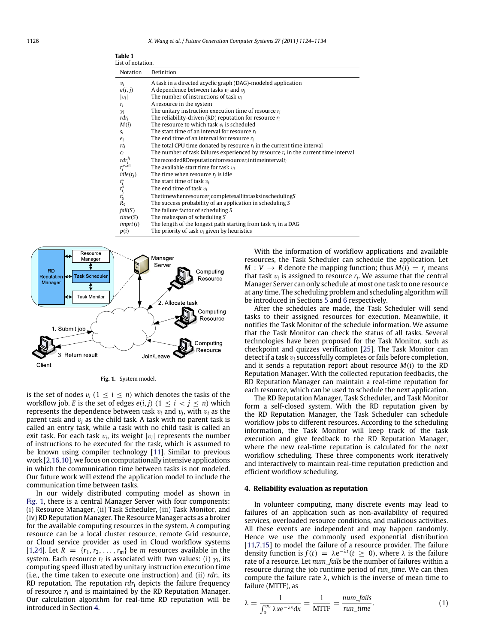<span id="page-2-1"></span>

| . . | $\sim$ |  |
|-----|--------|--|
|     |        |  |

| List of notation.                                                                      |  |  |  |
|----------------------------------------------------------------------------------------|--|--|--|
| Definition                                                                             |  |  |  |
| A task in a directed acyclic graph (DAG)-modeled application                           |  |  |  |
| A dependence between tasks $v_i$ and $v_i$                                             |  |  |  |
| The number of instructions of task $v_i$                                               |  |  |  |
| A resource in the system                                                               |  |  |  |
| The unitary instruction execution time of resource $r_i$                               |  |  |  |
| The reliability-driven (RD) reputation for resource $r_i$                              |  |  |  |
| The resource to which task $v_i$ is scheduled                                          |  |  |  |
| The start time of an interval for resource $r_i$                                       |  |  |  |
| The end time of an interval for resource $r_i$                                         |  |  |  |
| The total CPU time donated by resource $r_i$ in the current time interval              |  |  |  |
| The number of task failures experienced by resource $r_i$ in the current time interval |  |  |  |
| TherecordedRDreputationforresourcer $_i$ intimeintervalt $_i$                          |  |  |  |
| The available start time for task $v_i$                                                |  |  |  |
| The time when resource $r_i$ is idle                                                   |  |  |  |
| The start time of task $v_i$                                                           |  |  |  |
| The end time of task $v_i$                                                             |  |  |  |
| Thetimewhenresourcer <sub>i</sub> completesallitstasksinschedulingS                    |  |  |  |
| The success probability of an application in scheduling S                              |  |  |  |
| The failure factor of scheduling S                                                     |  |  |  |
| The makespan of scheduling S                                                           |  |  |  |
| The length of the longest path starting from task $v_i$ in a DAG                       |  |  |  |
| The priority of task $v_i$ given by heuristics                                         |  |  |  |
|                                                                                        |  |  |  |

<span id="page-2-2"></span>

**Fig. 1.** System model.

is the set of nodes  $v_i$  ( $1 \le i \le n$ ) which denotes the tasks of the workflow job. *E* is the set of edges  $e(i, j)$  ( $1 \leq i \leq j \leq n$ ) which represents the dependence between task  $v_i$  and  $v_j$ , with  $v_i$  as the parent task and  $v_i$  as the child task. A task with no parent task is called an entry task, while a task with no child task is called an exit task. For each task  $v_i$ , its weight  $|v_i|$  represents the number of instructions to be executed for the task, which is assumed to be known using compiler technology [\[11\]](#page-10-4). Similar to previous work [\[2,](#page-9-1)[16](#page-10-9)[,10\]](#page-10-18), we focus on computationally intensive applications in which the communication time between tasks is not modeled. Our future work will extend the application model to include the communication time between tasks.

In our widely distributed computing model as shown in [Fig. 1,](#page-2-2) there is a central Manager Server with four components: (i) Resource Manager, (ii) Task Scheduler, (iii) Task Monitor, and (iv) RD Reputation Manager. The Resource Manager acts as a broker for the available computing resources in the system. A computing resource can be a local cluster resource, remote Grid resource, or Cloud service provider as used in Cloud workflow systems [\[1](#page-9-0)[,24\]](#page-10-19). Let  $R = \{r_1, r_2, \ldots, r_m\}$  be *m* resources available in the system. Each resource  $r_i$  is associated with two values: (i)  $\gamma_i$ , its computing speed illustrated by unitary instruction execution time (i.e., the time taken to execute one instruction) and (ii) *rdr<sup>i</sup>* , its RD reputation. The reputation *rdr<sup>i</sup>* depicts the failure frequency of resource *r<sup>i</sup>* and is maintained by the RD Reputation Manager. Our calculation algorithm for real-time RD reputation will be introduced in Section [4.](#page-2-0)

With the information of workflow applications and available resources, the Task Scheduler can schedule the application. Let  $M: V \rightarrow R$  denote the mapping function; thus  $M(i) = r_i$  means that task  $v_i$  is assigned to resource  $r_j$ . We assume that the central Manager Server can only schedule at most one task to one resource at any time. The scheduling problem and scheduling algorithm will be introduced in Sections [5](#page-3-0) and [6](#page-4-0) respectively.

After the schedules are made, the Task Scheduler will send tasks to their assigned resources for execution. Meanwhile, it notifies the Task Monitor of the schedule information. We assume that the Task Monitor can check the status of all tasks. Several technologies have been proposed for the Task Monitor, such as checkpoint and quizzes verification [\[25\]](#page-10-20). The Task Monitor can detect if a task v*<sup>i</sup>* successfully completes or fails before completion, and it sends a reputation report about resource *M*(*i*) to the RD Reputation Manager. With the collected reputation feedbacks, the RD Reputation Manager can maintain a real-time reputation for each resource, which can be used to schedule the next application.

The RD Reputation Manager, Task Scheduler, and Task Monitor form a self-closed system. With the RD reputation given by the RD Reputation Manager, the Task Scheduler can schedule workflow jobs to different resources. According to the scheduling information, the Task Monitor will keep track of the task execution and give feedback to the RD Reputation Manager, where the new real-time reputation is calculated for the next workflow scheduling. These three components work iteratively and interactively to maintain real-time reputation prediction and efficient workflow scheduling.

#### <span id="page-2-0"></span>**4. Reliability evaluation as reputation**

In volunteer computing, many discrete events may lead to failures of an application such as non-availability of required services, overloaded resource conditions, and malicious activities. All these events are independent and may happen randomly. Hence we use the commonly used exponential distribution [\[11](#page-10-4)[,7,](#page-9-4)[15\]](#page-10-8) to model the failure of a resource provider. The failure density function is  $f(t) = \lambda e^{-\lambda t}$  ( $t \ge 0$ ), where  $\lambda$  is the failure rate of a resource. Let *num*\_*fails* be the number of failures within a resource during the job runtime period of *run*\_*time*. We can then compute the failure rate  $\lambda$ , which is the inverse of mean time to failure (MTTF), as

$$
\lambda = \frac{1}{\int_0^\infty \lambda x e^{-\lambda x} dx} = \frac{1}{\text{MTTF}} = \frac{\text{num}\_\text{fails}}{\text{run}\_\text{time}}.\tag{1}
$$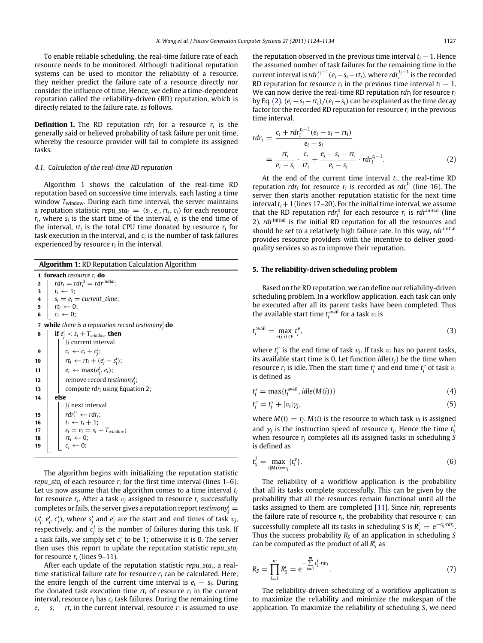To enable reliable scheduling, the real-time failure rate of each resource needs to be monitored. Although traditional reputation systems can be used to monitor the reliability of a resource, they neither predict the failure rate of a resource directly nor consider the influence of time. Hence, we define a time-dependent reputation called the reliability-driven (RD) reputation, which is directly related to the failure rate, as follows.

**Definition 1.** The RD reputation  $rdr_i$  for a resource  $r_i$  is the generally said or believed probability of task failure per unit time, whereby the resource provider will fail to complete its assigned tasks.

# *4.1. Calculation of the real-time RD reputation*

Algorithm 1 shows the calculation of the real-time RD reputation based on successive time intervals, each lasting a time window *T*window. During each time interval, the server maintains a reputation statistic *repu\_sta*<sub>*i*</sub> =  $(s_i, e_i, rt_i, c_i)$  for each resource  $r_i$ , where  $s_i$  is the start time of the interval,  $e_i$  is the end time of the interval,  $rt_i$  is the total CPU time donated by resource  $r_i$  for task execution in the interval, and *c<sup>i</sup>* is the number of task failures experienced by resource  $r_i$  in the interval.

| <b>Algorithm 1: RD Reputation Calculation Algorithm</b> |
|---------------------------------------------------------|
|---------------------------------------------------------|

 **foreach** *resource r<sup>i</sup>* **do**  $\int f dr_i = r dr_i^0 = r dr^{initial}$ ;  $t_i \leftarrow 1$ ;  $s_i = e_i$  = *current\_time*;  $r t_i \leftarrow 0;$ <br>**6**  $c_i \leftarrow 0;$  $\lfloor c_i \leftarrow 0; \]$  **while** *there is a reputation record testimony<sup>i</sup> <sup>j</sup>* **do | if**  $e^i_j < s_i + T_{window}$  **then** // current interval  $\left| \begin{array}{c} c_i \leftarrow c_i + c_j^i; \end{array} \right.$   $\left| \quad r t_i \leftarrow r t_i + (e_j^i - s_j^i);$   $e_i \leftarrow \max(e_j^i, e_i);$  **c** remove record *testimony*<sup>*j*</sup>;  $\vert$  compute *rdr<sub>i</sub>* using Equation 2; **14 else** // next interval  $\left| \int r dr_i^{t_i} \leftarrow r dr_i;$   $t_i \leftarrow t_i + 1;$   $S_i = e_i = s_i + T_{window};$  *rt***<sub>i</sub>**  $\leftarrow$  **0;<br><b>19** *c<sub>i</sub>* $\leftarrow$  **0;**  $c_i \leftarrow 0;$ 

The algorithm begins with initializing the reputation statistic *repu\_sta<sub>i</sub>* of each resource  $r_i$  for the first time interval (lines 1–6). Let us now assume that the algorithm comes to a time interval *t<sup>i</sup>* for resource *r<sup>i</sup>* . After a task v*<sup>j</sup>* assigned to resource *r<sup>i</sup>* successfully completes or fails, the server gives a reputation report *testimony* $^i_j = \frac{1}{j}$  $(s_j^i, e_j^i, c_j^i)$ , where  $s_j^i$  and  $e_j^i$  are the start and end times of task  $v_j$ , respectively, and  $c_j^i$  is the number of failures during this task. If a task fails, we simply set  $c^i_j$  to be 1; otherwise it is 0. The server then uses this report to update the reputation statistic *repu*\_*sta<sup>i</sup>* for resource  $r_i$  (lines 9–11).

After each update of the reputation statistic *repu*\_*sta<sup>i</sup>* , a realtime statistical failure rate for resource  $r_i$  can be calculated. Here, the entire length of the current time interval is  $e_i - s_i$ . During the donated task execution time *rt<sup>i</sup>* of resource *r<sup>i</sup>* in the current interval, resource *r<sup>i</sup>* has *c<sup>i</sup>* task failures. During the remaining time  $e_i - s_i - r t_i$  in the current interval, resource  $r_i$  is assumed to use

the reputation observed in the previous time interval  $t_i - 1$ . Hence the assumed number of task failures for the remaining time in the current interval is  $rdr_i^{t_i-1}(e_i-s_i-rt_i)$ , where  $rdr_i^{t_i-1}$  is the recorded RD reputation for resource  $r_i$  in the previous time interval  $t_i - 1$ . We can now derive the real-time RD reputation *rdr<sup>i</sup>* for resource *r<sup>i</sup>* by Eq. [\(2\).](#page-3-1)  $(e_i - s_i - rt_i)/(e_i - s_i)$  can be explained as the time decay factor for the recorded RD reputation for resource  $r_i$  in the previous time interval.

<span id="page-3-1"></span>
$$
rdr_i = \frac{c_i + rdr_i^{t_i-1}(e_i - s_i - rt_i)}{e_i - s_i}
$$
  
= 
$$
\frac{rt_i}{e_i - s_i} \cdot \frac{c_i}{rt_i} + \frac{e_i - s_i - rt_i}{e_i - s_i} \cdot rdr_i^{t_i-1}.
$$
 (2)

At the end of the current time interval *t<sup>i</sup>* , the real-time RD reputation *rdr<sub>i</sub>* for resource  $r_i$  is recorded as  $r dr_i^{t_i}$  (line 16). The server then starts another reputation statistic for the next time interval  $t_i + 1$  (lines 17–20). For the initial time interval, we assume that the RD reputation  $r dr_i^0$  for each resource  $r_i$  is  $r dr_i^{\text{initial}}$  (line 2). *rdr*initial is the initial RD reputation for all the resources and should be set to a relatively high failure rate. In this way, *rdr*initial provides resource providers with the incentive to deliver goodquality services so as to improve their reputation.

#### <span id="page-3-0"></span>**5. The reliability-driven scheduling problem**

Based on the RD reputation, we can define our reliability-driven scheduling problem. In a workflow application, each task can only be executed after all its parent tasks have been completed. Thus the available start time  $t_i^{\text{avail}}$  for a task  $v_i$  is

$$
t_i^{\text{avail}} = \max_{e(j,i)\in E} t_j^e,\tag{3}
$$

where  $t_j^e$  is the end time of task  $v_j$ . If task  $v_i$  has no parent tasks, its available start time is 0. Let function  $idle(r_i)$  be the time when resource  $r_j$  is idle. Then the start time  $t_i^s$  and end time  $t_i^e$  of task  $v_i$ is defined as

$$
t_i^s = \max\{t_i^{\text{avail}}, \text{idle}(M(i))\} \tag{4}
$$

<span id="page-3-2"></span>
$$
t_i^e = t_i^s + |v_i|\gamma_j,\tag{5}
$$

where  $M(i) = r_j$ .  $M(i)$  is the resource to which task  $v_i$  is assigned and  $\gamma_j$  is the instruction speed of resource  $r_j$ . Hence the time  $t^j_s$ when resource *r<sup>j</sup>* completes all its assigned tasks in scheduling *S* is defined as

$$
t_{S}^{j} = \max_{i|M(i)=r_{j}} \{t_{i}^{e}\}.
$$
 (6)

The reliability of a workflow application is the probability that all its tasks complete successfully. This can be given by the probability that all the resources remain functional until all the tasks assigned to them are completed [\[11\]](#page-10-4). Since *rdr<sup>i</sup>* represents the failure rate of resource  $r_i$ , the probability that resource  $r_i$  can successfully complete all its tasks in scheduling *S* is  $R_S^i = e^{-t_S^i \cdot r dr_i}$ . Thus the success probability *R<sup>S</sup>* of an application in scheduling *S* can be computed as the product of all  $R_S^i$  as

$$
R_{S} = \prod_{i=1}^{m} R_{S}^{i} = e^{-\sum_{i=1}^{m} t_{S}^{i} \cdot r dr_{i}}.
$$
\n(7)

The reliability-driven scheduling of a workflow application is to maximize the reliability and minimize the makespan of the application. To maximize the reliability of scheduling *S*, we need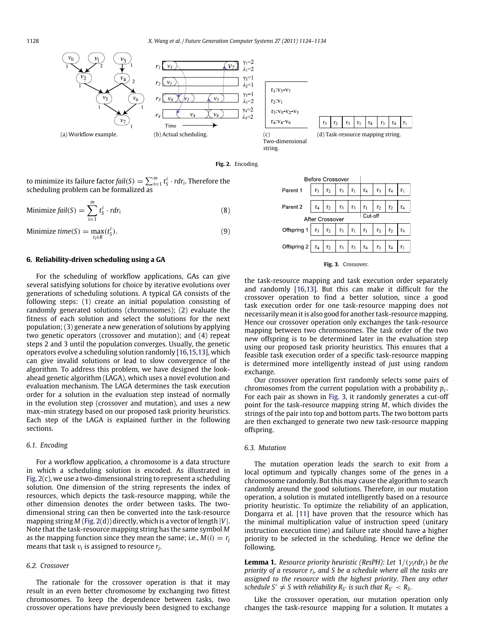<span id="page-4-1"></span>1128 *X. Wang et al. / Future Generation Computer Systems 27 (2011) 1124–1134*





to minimize its failure factor fail(S)  $= \sum_{i=1}^m t^i_{\scriptstyle{\mathsf{S}}} \cdot rdr_i.$  Therefore the scheduling problem can be formalized as

Minimize 
$$
fail(S) = \sum_{i=1}^{m} t_{S}^{i} \cdot r dr_{i}
$$
 (8)

 $\text{Minimize } \text{time}(S) = \max_{r_i \in R} (t_S^i)$  $\hspace{1.6cm} (9)$ 

# <span id="page-4-0"></span>**6. Reliability-driven scheduling using a GA**

For the scheduling of workflow applications, GAs can give several satisfying solutions for choice by iterative evolutions over generations of scheduling solutions. A typical GA consists of the following steps: (1) create an initial population consisting of randomly generated solutions (chromosomes); (2) evaluate the fitness of each solution and select the solutions for the next population; (3) generate a new generation of solutions by applying two genetic operators (crossover and mutation); and (4) repeat steps 2 and 3 until the population converges. Usually, the genetic operators evolve a scheduling solution randomly [\[16](#page-10-9)[,15](#page-10-8)[,13\]](#page-10-6), which can give invalid solutions or lead to slow convergence of the algorithm. To address this problem, we have designed the lookahead genetic algorithm (LAGA), which uses a novel evolution and evaluation mechanism. The LAGA determines the task execution order for a solution in the evaluation step instead of normally in the evolution step (crossover and mutation), and uses a new max–min strategy based on our proposed task priority heuristics. Each step of the LAGA is explained further in the following sections.

## *6.1. Encoding*

For a workflow application, a chromosome is a data structure in which a scheduling solution is encoded. As illustrated in [Fig. 2\(](#page-4-1)c), we use a two-dimensional string to represent a scheduling solution. One dimension of the string represents the index of resources, which depicts the task-resource mapping, while the other dimension denotes the order between tasks. The twodimensional string can then be converted into the task-resource mapping string *M* [\(Fig. 2\(](#page-4-1)d)) directly, which is a vector of length |*V*|. Note that the task-resource mapping string has the same symbol *M* as the mapping function since they mean the same; i.e.,  $M(i) = r<sub>i</sub>$ means that task  $v_i$  is assigned to resource  $r_j$ .

# *6.2. Crossover*

The rationale for the crossover operation is that it may result in an even better chromosome by exchanging two fittest chromosomes. To keep the dependence between tasks, two crossover operations have previously been designed to exchange

<span id="page-4-2"></span>

**Fig. 3.** Crossover.

the task-resource mapping and task execution order separately and randomly [\[16,](#page-10-9)[13\]](#page-10-6). But this can make it difficult for the crossover operation to find a better solution, since a good task execution order for one task-resource mapping does not necessarily mean it is also good for another task-resource mapping. Hence our crossover operation only exchanges the task-resource mapping between two chromosomes. The task order of the two new offspring is to be determined later in the evaluation step using our proposed task priority heuristics. This ensures that a feasible task execution order of a specific task-resource mapping is determined more intelligently instead of just using random exchange.

Our crossover operation first randomly selects some pairs of chromosomes from the current population with a probability *p<sup>c</sup>* . For each pair as shown in [Fig. 3,](#page-4-2) it randomly generates a cut-off point for the task-resource mapping string *M*, which divides the strings of the pair into top and bottom parts. The two bottom parts are then exchanged to generate two new task-resource mapping offspring.

#### *6.3. Mutation*

The mutation operation leads the search to exit from a local optimum and typically changes some of the genes in a chromosome randomly. But this may cause the algorithm to search randomly around the good solutions. Therefore, in our mutation operation, a solution is mutated intelligently based on a resource priority heuristic. To optimize the reliability of an application, Dongarra et al. [\[11\]](#page-10-4) have proven that the resource which has the minimal multiplication value of instruction speed (unitary instruction execution time) and failure rate should have a higher priority to be selected in the scheduling. Hence we define the following.

**Lemma 1.** *Resource priority heuristic (ResPH): Let* 1/(γ*irdri*) *be the priority of a resource r<sup>i</sup> , and S be a schedule where all the tasks are assigned to the resource with the highest priority. Then any other* schedule  $S' \neq S$  with reliability  $R_{S'}$  is such that  $R_{S'} < R_S$ .

Like the crossover operation, our mutation operation only changes the task-resource mapping for a solution. It mutates a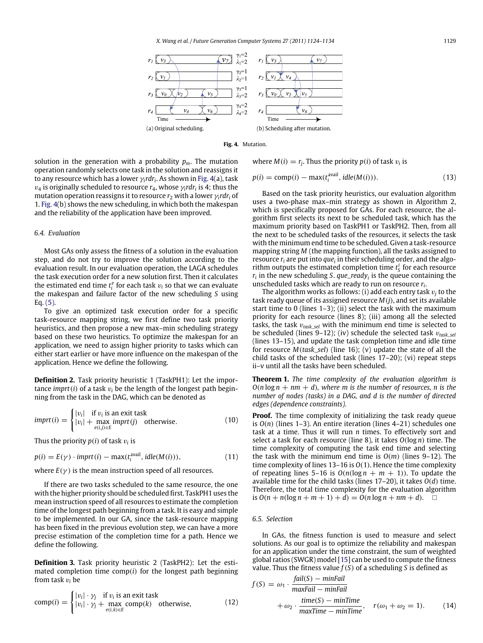<span id="page-5-0"></span>

**Fig. 4.** Mutation.

solution in the generation with a probability  $p_m$ . The mutation operation randomly selects one task in the solution and reassigns it to any resource which has a lower γ*irdr<sup>i</sup>* . As shown in [Fig. 4\(](#page-5-0)a), task  $v_4$  is originally scheduled to resource  $r_4$ , whose  $\gamma_i$ *rdr*<sub>*i*</sub> is 4; thus the mutation operation reassigns it to resource  $r_2$  with a lower  $\gamma_i r dr_i$  of 1. [Fig. 4\(](#page-5-0)b) shows the new scheduling, in which both the makespan and the reliability of the application have been improved.

## *6.4. Evaluation*

Most GAs only assess the fitness of a solution in the evaluation step, and do not try to improve the solution according to the evaluation result. In our evaluation operation, the LAGA schedules the task execution order for a new solution first. Then it calculates the estimated end time  $t_i^e$  for each task  $v_i$  so that we can evaluate the makespan and failure factor of the new scheduling *S* using Eq. [\(5\).](#page-3-2)

To give an optimized task execution order for a specific task-resource mapping string, we first define two task priority heuristics, and then propose a new max–min scheduling strategy based on these two heuristics. To optimize the makespan for an application, we need to assign higher priority to tasks which can either start earlier or have more influence on the makespan of the application. Hence we define the following.

**Definition 2.** Task priority heuristic 1 (TaskPH1): Let the importance *imprt*(*i*) of a task  $v_i$  be the length of the longest path beginning from the task in the DAG, which can be denoted as

$$
imprt(i) = \begin{cases} |v_i| & \text{if } v_i \text{ is an exit task} \\ |v_i| + \max_{e(i,j)\in E} imprt(j) & \text{otherwise.} \end{cases}
$$
 (10)

Thus the priority  $p(i)$  of task  $v_i$  is

$$
p(i) = E(\gamma) \cdot \text{imprt}(i) - \max(t_i^{\text{avail}}, \text{idle}(M(i))), \tag{11}
$$

where  $E(\gamma)$  is the mean instruction speed of all resources.

If there are two tasks scheduled to the same resource, the one with the higher priority should be scheduled first. TaskPH1 uses the mean instruction speed of all resources to estimate the completion time of the longest path beginning from a task. It is easy and simple to be implemented. In our GA, since the task-resource mapping has been fixed in the previous evolution step, we can have a more precise estimation of the completion time for a path. Hence we define the following.

**Definition 3.** Task priority heuristic 2 (TaskPH2): Let the estimated completion time comp(*i*) for the longest path beginning from task v*<sup>i</sup>* be

comp(*i*) = 
$$
\begin{cases} |v_i| \cdot \gamma_j & \text{if } v_i \text{ is an exit task} \\ |v_i| \cdot \gamma_j + \max_{e(i,k) \in E} \text{comp}(k) & \text{otherwise,} \end{cases}
$$
 (12)

where  $M(i) = r_j$ . Thus the priority  $p(i)$  of task  $v_i$  is

$$
p(i) = \text{comp}(i) - \max(t_i^{\text{avail}}, \text{idle}(M(i))). \tag{13}
$$

Based on the task priority heuristics, our evaluation algorithm uses a two-phase max–min strategy as shown in Algorithm 2, which is specifically proposed for GAs. For each resource, the algorithm first selects its next to be scheduled task, which has the maximum priority based on TaskPH1 or TaskPH2. Then, from all the next to be scheduled tasks of the resources, it selects the task with the minimum end time to be scheduled. Given a task-resource mapping string *M* (the mapping function), all the tasks assigned to resource  $r_i$  are put into  $que_i$  in their scheduling order, and the algorithm outputs the estimated completion time  $t^i$  for each resource *ri* in the new scheduling *S*. *que*\_*ready<sup>i</sup>* is the queue containing the unscheduled tasks which are ready to run on resource *r<sup>i</sup>* .

The algorithm works as follows: (i) add each entry task  $v_j$  to the task ready queue of its assigned resource *M*(*j*), and set its available start time to 0 (lines 1–3); (ii) select the task with the maximum priority for each resource (lines 8); (iii) among all the selected tasks, the task  $v_{task\_sel}$  with the minimum end time is selected to be scheduled (lines 9–12); (iv) schedule the selected task  $v_{task\_sel}$ (lines 13–15), and update the task completion time and idle time for resource *M*(*task*\_*sel*) (line 16); (v) update the state of all the child tasks of the scheduled task (lines 17–20); (vi) repeat steps ii–v until all the tasks have been scheduled.

**Theorem 1.** *The time complexity of the evaluation algorithm is*  $O(n \log n + nm + d)$ , where *m* is the number of resources, *n* is the *number of nodes (tasks) in a DAG, and d is the number of directed edges (dependence constraints).*

**Proof.** The time complexity of initializing the task ready queue is *O*(*n*) (lines 1–3). An entire iteration (lines 4–21) schedules one task at a time. Thus it will run *n* times. To effectively sort and select a task for each resource (line 8), it takes *O*(log *n*) time. The time complexity of computing the task end time and selecting the task with the minimum end time is *O*(*m*) (lines 9–12). The time complexity of lines 13–16 is *O*(1). Hence the time complexity of repeating lines 5–16 is  $O(n(\log n + m + 1))$ . To update the available time for the child tasks (lines 17–20), it takes *O*(*d*) time. Therefore, the total time complexity for the evaluation algorithm is *O*( $n + n(\log n + m + 1) + d$ ) = *O*( $n \log n + nm + d$ ). □

# *6.5. Selection*

In GAs, the fitness function is used to measure and select solutions. As our goal is to optimize the reliability and makespan for an application under the time constraint, the sum of weighted global ratios (SWGR) model [\[15\]](#page-10-8) can be used to compute the fitness value. Thus the fitness value *f*(*S*) of a scheduling *S* is defined as

$$
f(S) = \omega_1 \cdot \frac{fail(S) - minFail}{maxFail - minFail} + \omega_2 \cdot \frac{time(S) - minTime}{maxTime - minTime}, \quad r(\omega_1 + \omega_2 = 1).
$$
 (14)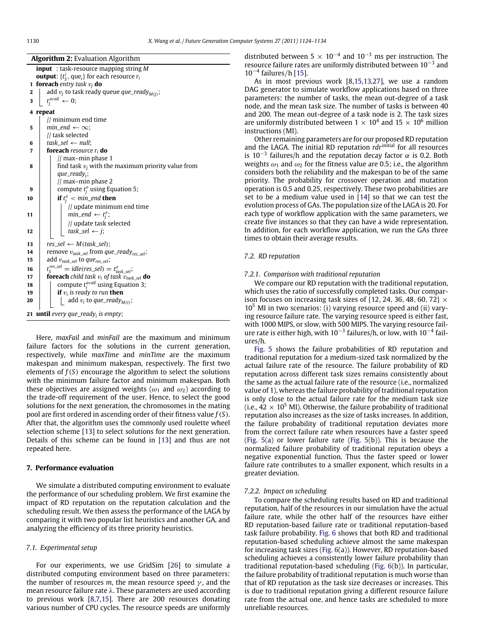| <b>Algorithm 2:</b> Evaluation Algorithm                               |                                                            |  |  |  |
|------------------------------------------------------------------------|------------------------------------------------------------|--|--|--|
| <b>input</b> : task-resource mapping string $M$                        |                                                            |  |  |  |
| <b>output</b> : $\{t_s^i$ , que <sub>i</sub> } for each resource $r_i$ |                                                            |  |  |  |
|                                                                        | <b>1 foreach</b> entry task $v_i$ <b>do</b>                |  |  |  |
| 2                                                                      | add $v_j$ to task ready queue que_ready <sub>M(i)</sub> ;  |  |  |  |
| 3                                                                      | $t_i^{avail} \leftarrow 0;$                                |  |  |  |
| 4 repeat                                                               |                                                            |  |  |  |
|                                                                        | // minimum end time                                        |  |  |  |
| 5                                                                      | min_end $\leftarrow \infty$ ;                              |  |  |  |
|                                                                        | // task selected                                           |  |  |  |
| 6                                                                      | task_sel $\leftarrow$ null;                                |  |  |  |
| 7                                                                      | <b>foreach</b> resource $r_i$ <b>do</b>                    |  |  |  |
|                                                                        | $\frac{1}{\tan \theta}$ max-min phase 1                    |  |  |  |
| 8                                                                      | find task $v_i$ with the maximum priority value from       |  |  |  |
|                                                                        | $que\_ready_i$ ;                                           |  |  |  |
|                                                                        | $\frac{1}{\tan \theta}$ max-min phase 2                    |  |  |  |
| 9                                                                      | compute $t_i^e$ using Equation 5;                          |  |  |  |
| 10                                                                     | <b>if</b> $t_i^e$ < min_end <b>then</b>                    |  |  |  |
|                                                                        | // update minimum end time                                 |  |  |  |
| 11                                                                     | $min\_end \leftarrow t_i^e;$                               |  |  |  |
|                                                                        | // update task selected                                    |  |  |  |
| 12                                                                     | task_sel $\leftarrow$ j;                                   |  |  |  |
|                                                                        |                                                            |  |  |  |
| 13                                                                     | $res\_sel \leftarrow M(task\_sel);$                        |  |  |  |
| 14                                                                     | remove $v_{task\_sel}$ from que_ready <sub>res_sel</sub> ; |  |  |  |
| 15                                                                     | add $v_{task\ sel}$ to que <sub>res sel</sub> ;            |  |  |  |
| 16                                                                     | $t_s^{res\_sel} = idle(res\_sel) = t_{task\_sel}^e;$       |  |  |  |
| 17                                                                     | <b>foreach</b> child task $v_i$ of task $v_{task\ sel}$ do |  |  |  |
| 18                                                                     | compute $t_i^{avail}$ using Equation 3;                    |  |  |  |
| 19                                                                     | <b>if</b> $v_i$ is ready to run <b>then</b>                |  |  |  |
| 20                                                                     | add $v_i$ to que_ready <sub>M(i)</sub> ;                   |  |  |  |
| <b>21 until</b> every que_ready, is empty;                             |                                                            |  |  |  |

Here, *maxFail* and *minFail* are the maximum and minimum failure factors for the solutions in the current generation, respectively, while *maxTime* and *minTime* are the maximum makespan and minimum makespan, respectively. The first two elements of  $f(S)$  encourage the algorithm to select the solutions with the minimum failure factor and minimum makespan. Both these objectives are assigned weights ( $\omega_1$  and  $\omega_2$ ) according to the trade-off requirement of the user. Hence, to select the good solutions for the next generation, the chromosomes in the mating pool are first ordered in ascending order of their fitness value *f*(*S*). After that, the algorithm uses the commonly used roulette wheel selection scheme [\[13\]](#page-10-6) to select solutions for the next generation. Details of this scheme can be found in [\[13\]](#page-10-6) and thus are not repeated here.

## <span id="page-6-0"></span>**7. Performance evaluation**

We simulate a distributed computing environment to evaluate the performance of our scheduling problem. We first examine the impact of RD reputation on the reputation calculation and the scheduling result. We then assess the performance of the LAGA by comparing it with two popular list heuristics and another GA, and analyzing the efficiency of its three priority heuristics.

# *7.1. Experimental setup*

For our experiments, we use GridSim [\[26\]](#page-10-21) to simulate a distributed computing environment based on three parameters: the number of resources *m*, the mean resource speed  $\gamma$ , and the mean resource failure rate λ. These parameters are used according to previous work [\[8](#page-9-5)[,7](#page-9-4)[,15\]](#page-10-8). There are 200 resources donating various number of CPU cycles. The resource speeds are uniformly distributed between 5  $\times$  10<sup>-4</sup> and 10<sup>-3</sup> ms per instruction. The resource failure rates are uniformly distributed between 10−<sup>3</sup> and 10−<sup>4</sup> failures/h [\[15\]](#page-10-8).

As in most previous work [\[8,](#page-9-5)[15](#page-10-8)[,13,](#page-10-6)[27\]](#page-10-22), we use a random DAG generator to simulate workflow applications based on three parameters: the number of tasks, the mean out-degree of a task node, and the mean task size. The number of tasks is between 40 and 200. The mean out-degree of a task node is 2. The task sizes are uniformly distributed between  $1 \times 10^4$  and  $15 \times 10^6$  million instructions (MI).

Other remaining parameters are for our proposed RD reputation and the LAGA. The initial RD reputation *rdr*initial for all resources is 10<sup>-3</sup> failures/h and the reputation decay factor  $\alpha$  is 0.2. Both weights  $\omega_1$  and  $\omega_2$  for the fitness value are 0.5; i.e., the algorithm considers both the reliability and the makespan to be of the same priority. The probability for crossover operation and mutation operation is 0.5 and 0.25, respectively. These two probabilities are set to be a medium value used in [\[14\]](#page-10-7) so that we can test the evolution process of GAs. The population size of the LAGA is 20. For each type of workflow application with the same parameters, we create five instances so that they can have a wide representation. In addition, for each workflow application, we run the GAs three times to obtain their average results.

# *7.2. RD reputation*

### *7.2.1. Comparison with traditional reputation*

We compare our RD reputation with the traditional reputation, which uses the ratio of successfully completed tasks. Our comparison focuses on increasing task sizes of  $\{12, 24, 36, 48, 60, 72\} \times$  $10<sup>5</sup>$  MI in two scenarios: (i) varying resource speed and (ii) varying resource failure rate. The varying resource speed is either fast, with 1000 MIPS, or slow, with 500 MIPS. The varying resource failure rate is either high, with  $10^{-3}$  failures/h, or low, with  $10^{-4}$  failures/h.

[Fig. 5](#page-7-0) shows the failure probabilities of RD reputation and traditional reputation for a medium-sized task normalized by the actual failure rate of the resource. The failure probability of RD reputation across different task sizes remains consistently about the same as the actual failure rate of the resource (i.e., normalized value of 1), whereas the failure probability of traditional reputation is only close to the actual failure rate for the medium task size (i.e.,  $42 \times 10^5$  MI). Otherwise, the failure probability of traditional reputation also increases as the size of tasks increases. In addition, the failure probability of traditional reputation deviates more from the correct failure rate when resources have a faster speed [\(Fig. 5\(](#page-7-0)a) or lower failure rate [\(Fig. 5\(](#page-7-0)b)). This is because the normalized failure probability of traditional reputation obeys a negative exponential function. Thus the faster speed or lower failure rate contributes to a smaller exponent, which results in a greater deviation.

#### *7.2.2. Impact on scheduling*

To compare the scheduling results based on RD and traditional reputation, half of the resources in our simulation have the actual failure rate, while the other half of the resources have either RD reputation-based failure rate or traditional reputation-based task failure probability. [Fig. 6](#page-7-1) shows that both RD and traditional reputation-based scheduling achieve almost the same makespan for increasing task sizes [\(Fig. 6\(](#page-7-1)a)). However, RD reputation-based scheduling achieves a consistently lower failure probability than traditional reputation-based scheduling [\(Fig. 6\(](#page-7-1)b)). In particular, the failure probability of traditional reputation is much worse than that of RD reputation as the task size decreases or increases. This is due to traditional reputation giving a different resource failure rate from the actual one, and hence tasks are scheduled to more unreliable resources.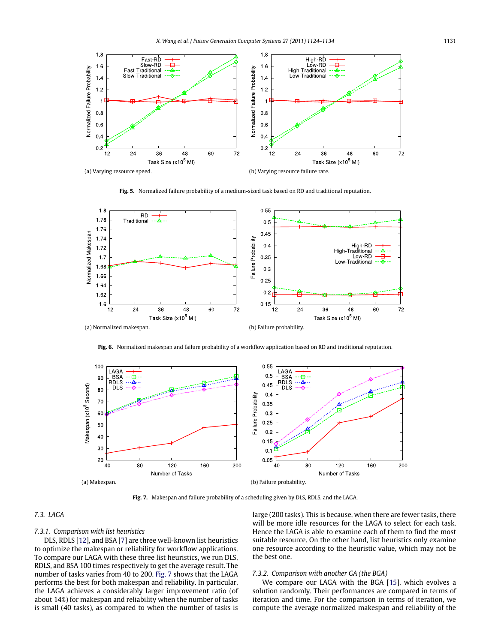<span id="page-7-0"></span>

**Fig. 5.** Normalized failure probability of a medium-sized task based on RD and traditional reputation.

<span id="page-7-1"></span>

**Fig. 6.** Normalized makespan and failure probability of a workflow application based on RD and traditional reputation.

<span id="page-7-2"></span>

**Fig. 7.** Makespan and failure probability of a scheduling given by DLS, RDLS, and the LAGA.

# *7.3. LAGA*

#### *7.3.1. Comparison with list heuristics*

DLS, RDLS [\[12\]](#page-10-5), and BSA [\[7\]](#page-9-4) are three well-known list heuristics to optimize the makespan or reliability for workflow applications. To compare our LAGA with these three list heuristics, we run DLS, RDLS, and BSA 100 times respectively to get the average result. The number of tasks varies from 40 to 200. [Fig. 7](#page-7-2) shows that the LAGA performs the best for both makespan and reliability. In particular, the LAGA achieves a considerably larger improvement ratio (of about 14%) for makespan and reliability when the number of tasks is small (40 tasks), as compared to when the number of tasks is large (200 tasks). This is because, when there are fewer tasks, there will be more idle resources for the LAGA to select for each task. Hence the LAGA is able to examine each of them to find the most suitable resource. On the other hand, list heuristics only examine one resource according to the heuristic value, which may not be the best one.

#### <span id="page-7-3"></span>*7.3.2. Comparison with another GA (the BGA)*

We compare our LAGA with the BGA [\[15\]](#page-10-8), which evolves a solution randomly. Their performances are compared in terms of iteration and time. For the comparison in terms of iteration, we compute the average normalized makespan and reliability of the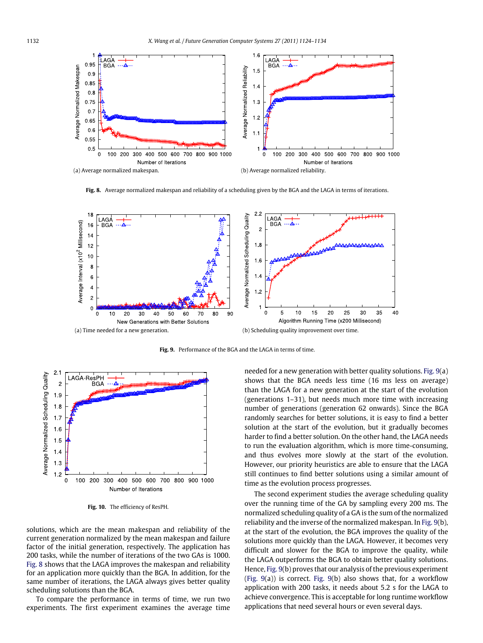<span id="page-8-0"></span>

**Fig. 8.** Average normalized makespan and reliability of a scheduling given by the BGA and the LAGA in terms of iterations.

<span id="page-8-1"></span>

**Fig. 9.** Performance of the BGA and the LAGA in terms of time.

<span id="page-8-2"></span>

**Fig. 10.** The efficiency of ResPH.

solutions, which are the mean makespan and reliability of the current generation normalized by the mean makespan and failure factor of the initial generation, respectively. The application has 200 tasks, while the number of iterations of the two GAs is 1000. [Fig. 8](#page-8-0) shows that the LAGA improves the makespan and reliability for an application more quickly than the BGA. In addition, for the same number of iterations, the LAGA always gives better quality scheduling solutions than the BGA.

To compare the performance in terms of time, we run two experiments. The first experiment examines the average time needed for a new generation with better quality solutions. [Fig. 9\(](#page-8-1)a) shows that the BGA needs less time (16 ms less on average) than the LAGA for a new generation at the start of the evolution (generations 1–31), but needs much more time with increasing number of generations (generation 62 onwards). Since the BGA randomly searches for better solutions, it is easy to find a better solution at the start of the evolution, but it gradually becomes harder to find a better solution. On the other hand, the LAGA needs to run the evaluation algorithm, which is more time-consuming, and thus evolves more slowly at the start of the evolution. However, our priority heuristics are able to ensure that the LAGA still continues to find better solutions using a similar amount of time as the evolution process progresses.

The second experiment studies the average scheduling quality over the running time of the GA by sampling every 200 ms. The normalized scheduling quality of a GA is the sum of the normalized reliability and the inverse of the normalized makespan. In [Fig. 9\(](#page-8-1)b), at the start of the evolution, the BGA improves the quality of the solutions more quickly than the LAGA. However, it becomes very difficult and slower for the BGA to improve the quality, while the LAGA outperforms the BGA to obtain better quality solutions. Hence, [Fig. 9\(](#page-8-1)b) proves that our analysis of the previous experiment [\(Fig. 9\(](#page-8-1)a)) is correct. [Fig. 9\(](#page-8-1)b) also shows that, for a workflow application with 200 tasks, it needs about 5.2 s for the LAGA to achieve convergence. This is acceptable for long runtime workflow applications that need several hours or even several days.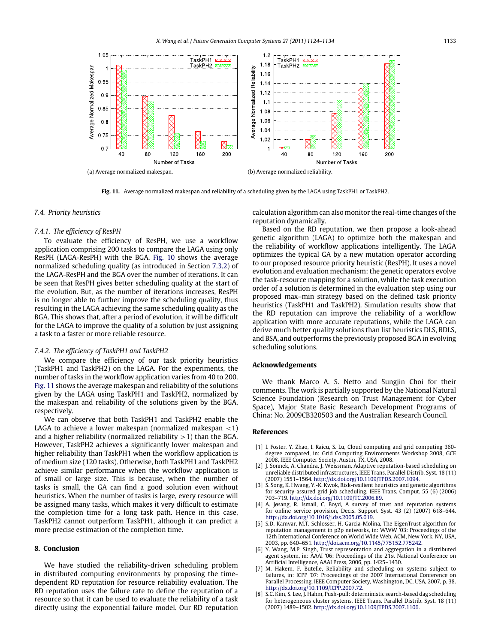<span id="page-9-8"></span>

Fig. 11. Average normalized makespan and reliability of a scheduling given by the LAGA using TaskPH1 or TaskPH2.

## *7.4. Priority heuristics*

# *7.4.1. The efficiency of ResPH*

To evaluate the efficiency of ResPH, we use a workflow application comprising 200 tasks to compare the LAGA using only ResPH (LAGA-ResPH) with the BGA. [Fig. 10](#page-8-2) shows the average normalized scheduling quality (as introduced in Section [7.3.2\)](#page-7-3) of the LAGA-ResPH and the BGA over the number of iterations. It can be seen that ResPH gives better scheduling quality at the start of the evolution. But, as the number of iterations increases, ResPH is no longer able to further improve the scheduling quality, thus resulting in the LAGA achieving the same scheduling quality as the BGA. This shows that, after a period of evolution, it will be difficult for the LAGA to improve the quality of a solution by just assigning a task to a faster or more reliable resource.

## *7.4.2. The efficiency of TaskPH1 and TaskPH2*

We compare the efficiency of our task priority heuristics (TaskPH1 and TaskPH2) on the LAGA. For the experiments, the number of tasks in the workflow application varies from 40 to 200. [Fig. 11](#page-9-8) shows the average makespan and reliability of the solutions given by the LAGA using TaskPH1 and TaskPH2, normalized by the makespan and reliability of the solutions given by the BGA, respectively.

We can observe that both TaskPH1 and TaskPH2 enable the LAGA to achieve a lower makespan (normalized makespan  $\langle 1 \rangle$ and a higher reliability (normalized reliability  $>1$ ) than the BGA. However, TaskPH2 achieves a significantly lower makespan and higher reliability than TaskPH1 when the workflow application is of medium size (120 tasks). Otherwise, both TaskPH1 and TaskPH2 achieve similar performance when the workflow application is of small or large size. This is because, when the number of tasks is small, the GA can find a good solution even without heuristics. When the number of tasks is large, every resource will be assigned many tasks, which makes it very difficult to estimate the completion time for a long task path. Hence in this case, TaskPH2 cannot outperform TaskPH1, although it can predict a more precise estimation of the completion time.

# <span id="page-9-6"></span>**8. Conclusion**

We have studied the reliability-driven scheduling problem in distributed computing environments by proposing the timedependent RD reputation for resource reliability evaluation. The RD reputation uses the failure rate to define the reputation of a resource so that it can be used to evaluate the reliability of a task directly using the exponential failure model. Our RD reputation calculation algorithm can also monitor the real-time changes of the reputation dynamically.

Based on the RD reputation, we then propose a look-ahead genetic algorithm (LAGA) to optimize both the makespan and the reliability of workflow applications intelligently. The LAGA optimizes the typical GA by a new mutation operator according to our proposed resource priority heuristic (ResPH). It uses a novel evolution and evaluation mechanism: the genetic operators evolve the task-resource mapping for a solution, while the task execution order of a solution is determined in the evaluation step using our proposed max–min strategy based on the defined task priority heuristics (TaskPH1 and TaskPH2). Simulation results show that the RD reputation can improve the reliability of a workflow application with more accurate reputations, while the LAGA can derive much better quality solutions than list heuristics DLS, RDLS, and BSA, and outperforms the previously proposed BGA in evolving scheduling solutions.

# **Acknowledgements**

We thank Marco A. S. Netto and Sungjin Choi for their comments. The work is partially supported by the National Natural Science Foundation (Research on Trust Management for Cyber Space), Major State Basic Research Development Programs of China: No. 2009CB320503 and the Australian Research Council.

## **References**

- <span id="page-9-0"></span>[1] I. Foster, Y. Zhao, I. Raicu, S. Lu, Cloud computing and grid computing 360 degree compared, in: Grid Computing Environments Workshop 2008, GCE 2008, IEEE Computer Society, Austin, TX, USA, 2008.
- <span id="page-9-1"></span>[2] J. Sonnek, A. Chandra, J. Weissman, Adaptive reputation-based scheduling on unreliable distributed infrastructures, IEEE Trans. Parallel Distrib. Syst. 18 (11) (2007) 1551–1564. [http://dx.doi.org/10.1109/TPDS.2007.1094.](http://dx.doi.org/10.1109/TPDS.2007.1094)
- <span id="page-9-2"></span>[3] S. Song, K. Hwang, Y.-K. Kwok, Risk-resilient heuristics and genetic algorithms for security-assured grid job scheduling, IEEE Trans. Comput. 55 (6) (2006) 703–719. [http://dx.doi.org/10.1109/TC.2006.89.](http://dx.doi.org/10.1109/TC.2006.89)
- <span id="page-9-3"></span>[4] A. Jøsang, R. Ismail, C. Boyd, A survey of trust and reputation systems for online service provision, Decis. Support Syst. 43 (2) (2007) 618–644. [http://dx.doi.org/10.1016/j.dss.2005.05.019.](http://dx.doi.org/10.1016/j.dss.2005.05.019)
- <span id="page-9-7"></span>[5] S.D. Kamvar, M.T. Schlosser, H. Garcia-Molina, The EigenTrust algorithm for reputation management in p2p networks, in: WWW '03: Proceedings of the 12th International Conference on World Wide Web, ACM, New York, NY, USA, 2003, pp. 640–651. [http://doi.acm.org/10.1145/775152.775242.](http://doi.acm.org/10.1145/775152.775242)
- [6] Y. Wang, M.P. Singh, Trust representation and aggregation in a distributed agent system, in: AAAI '06: Proceedings of the 21st National Conference on Artificial Intelligence, AAAI Press, 2006, pp. 1425–1430.
- <span id="page-9-4"></span>[7] M. Hakem, F. Butelle, Reliability and scheduling on systems subject to failures, in: ICPP '07: Proceedings of the 2007 International Conference on Parallel Processing, IEEE Computer Society, Washington, DC, USA, 2007, p. 38. [http://dx.doi.org/10.1109/ICPP.2007.72.](http://dx.doi.org/10.1109/ICPP.2007.72)
- <span id="page-9-5"></span>[8] S.C. Kim, S. Lee, J. Hahm, Push-pull: deterministic search-based dag scheduling for heterogeneous cluster systems, IEEE Trans. Parallel Distrib. Syst. 18 (11) (2007) 1489–1502. [http://dx.doi.org/10.1109/TPDS.2007.1106.](http://dx.doi.org/10.1109/TPDS.2007.1106)